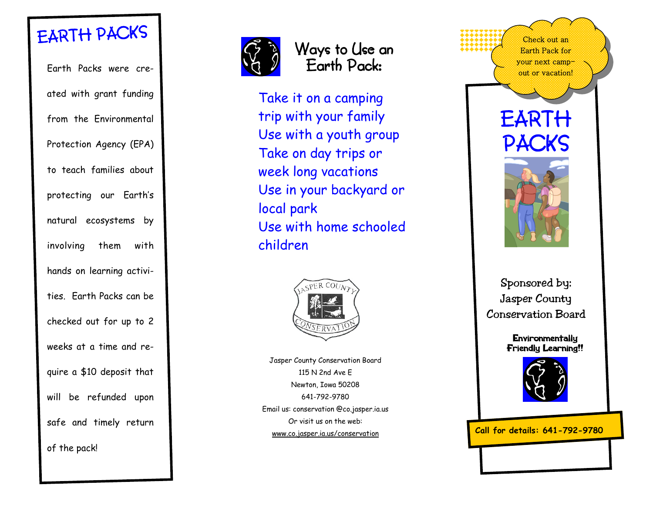# EARTH P ACKS

Earth Packs were created with grant funding from the Environmental Protection Agency (EPA) to teach families about protecting our Earth's natural ecosystems by involving them with hands on learning activities. Earth Packs can be checked out for up to 2 weeks at a time and require a \$10 deposit that will be refunded upon safe and timely return of the pack!



### Ways to Use an Earth Pack:

Take it on a camping trip with your family Use with a youth group Take on day trips or week long vacations Use in your backyard or local park Use with home schooled children



Jasper County Conservation Board 115 N 2nd Ave E Newton, Iowa 50208 641-792-9780 Email us: conservation @co.jasper.ia.us Or visit us on the web: www.co.jasper.ia.us/conservation